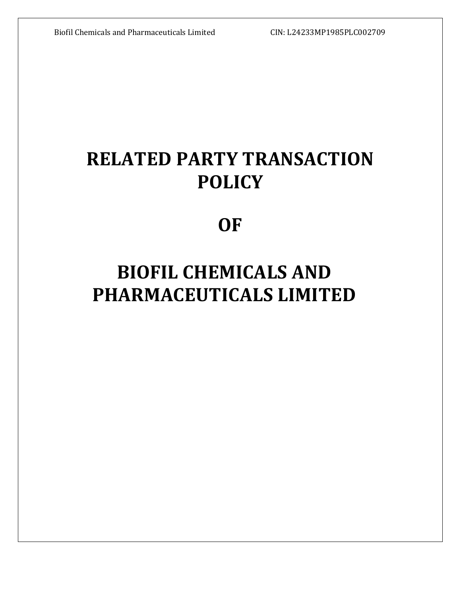# **RELATED PARTY TRANSACTION POLICY**

# **OF**

# **BIOFIL CHEMICALS AND PHARMACEUTICALS LIMITED**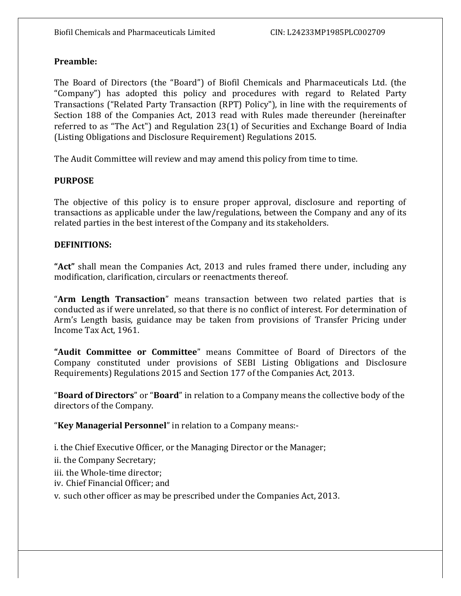# **Preamble:**

The Board of Directors (the "Board") of Biofil Chemicals and Pharmaceuticals Ltd. (the "Company") has adopted this policy and procedures with regard to Related Party Transactions ("Related Party Transaction (RPT) Policy"), in line with the requirements of Section 188 of the Companies Act, 2013 read with Rules made thereunder (hereinafter referred to as "The Act") and Regulation 23(1) of Securities and Exchange Board of India (Listing Obligations and Disclosure Requirement) Regulations 2015.

The Audit Committee will review and may amend this policy from time to time.

## **PURPOSE**

The objective of this policy is to ensure proper approval, disclosure and reporting of transactions as applicable under the law/regulations, between the Company and any of its related parties in the best interest of the Company and its stakeholders.

### **DEFINITIONS:**

**"Act"** shall mean the Companies Act, 2013 and rules framed there under, including any modification, clarification, circulars or reenactments thereof.

"**Arm Length Transaction**" means transaction between two related parties that is conducted as if were unrelated, so that there is no conflict of interest. For determination of Arm's Length basis, guidance may be taken from provisions of Transfer Pricing under Income Tax Act, 1961.

**"Audit Committee or Committee**" means Committee of Board of Directors of the Company constituted under provisions of SEBI Listing Obligations and Disclosure Requirements) Regulations 2015 and Section 177 of the Companies Act, 2013.

"**Board of Directors**" or "**Board**" in relation to a Company means the collective body of the directors of the Company.

"**Key Managerial Personnel**" in relation to a Company means:-

i. the Chief Executive Officer, or the Managing Director or the Manager;

ii. the Company Secretary;

iii. the Whole-time director;

iv. Chief Financial Officer; and

v. such other officer as may be prescribed under the Companies Act, 2013.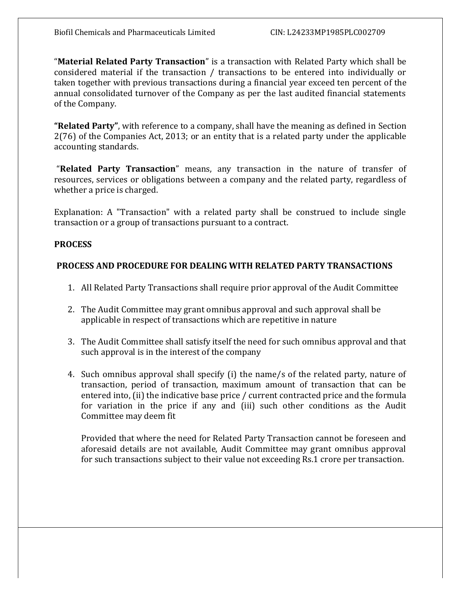"**Material Related Party Transaction**" is a transaction with Related Party which shall be considered material if the transaction / transactions to be entered into individually or taken together with previous transactions during a financial year exceed ten percent of the annual consolidated turnover of the Company as per the last audited financial statements of the Company.

**"Related Party"**, with reference to a company, shall have the meaning as defined in Section 2(76) of the Companies Act, 2013; or an entity that is a related party under the applicable accounting standards.

"**Related Party Transaction**" means, any transaction in the nature of transfer of resources, services or obligations between a company and the related party, regardless of whether a price is charged.

Explanation: A "Transaction" with a related party shall be construed to include single transaction or a group of transactions pursuant to a contract.

### **PROCESS**

### **PROCESS AND PROCEDURE FOR DEALING WITH RELATED PARTY TRANSACTIONS**

- 1. All Related Party Transactions shall require prior approval of the Audit Committee
- 2. The Audit Committee may grant omnibus approval and such approval shall be applicable in respect of transactions which are repetitive in nature
- 3. The Audit Committee shall satisfy itself the need for such omnibus approval and that such approval is in the interest of the company
- 4. Such omnibus approval shall specify (i) the name/s of the related party, nature of transaction, period of transaction, maximum amount of transaction that can be entered into, (ii) the indicative base price / current contracted price and the formula for variation in the price if any and (iii) such other conditions as the Audit Committee may deem fit

Provided that where the need for Related Party Transaction cannot be foreseen and aforesaid details are not available, Audit Committee may grant omnibus approval for such transactions subject to their value not exceeding Rs.1 crore per transaction.